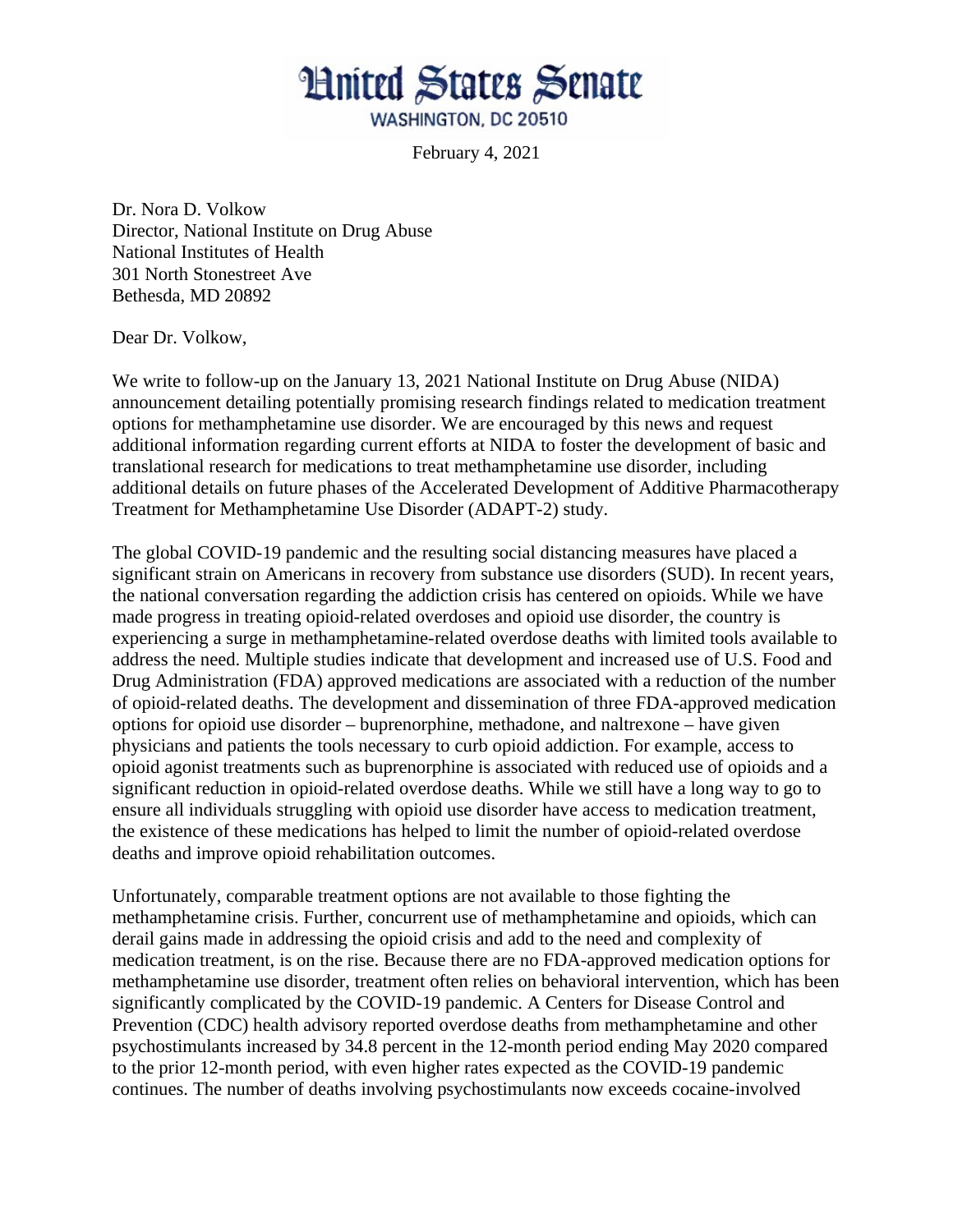

February 4, 2021

Dr. Nora D. Volkow Director, National Institute on Drug Abuse National Institutes of Health 301 North Stonestreet Ave Bethesda, MD 20892

Dear Dr. Volkow,

We write to follow-up on the January 13, 2021 National Institute on Drug Abuse (NIDA) announcement detailing potentially promising research findings related to medication treatment options for methamphetamine use disorder. We are encouraged by this news and request additional information regarding current efforts at NIDA to foster the development of basic and translational research for medications to treat methamphetamine use disorder, including additional details on future phases of the Accelerated Development of Additive Pharmacotherapy Treatment for Methamphetamine Use Disorder (ADAPT-2) study.

The global COVID-19 pandemic and the resulting social distancing measures have placed a significant strain on Americans in recovery from substance use disorders (SUD). In recent years, the national conversation regarding the addiction crisis has centered on opioids. While we have made progress in treating opioid-related overdoses and opioid use disorder, the country is experiencing a surge in methamphetamine-related overdose deaths with limited tools available to address the need. Multiple studies indicate that development and increased use of U.S. Food and Drug Administration (FDA) approved medications are associated with a reduction of the number of opioid-related deaths. The development and dissemination of three FDA-approved medication options for opioid use disorder – buprenorphine, methadone, and naltrexone – have given physicians and patients the tools necessary to curb opioid addiction. For example, access to opioid agonist treatments such as buprenorphine is associated with reduced use of opioids and a significant reduction in opioid-related overdose deaths. While we still have a long way to go to ensure all individuals struggling with opioid use disorder have access to medication treatment, the existence of these medications has helped to limit the number of opioid-related overdose deaths and improve opioid rehabilitation outcomes.

Unfortunately, comparable treatment options are not available to those fighting the methamphetamine crisis. Further, concurrent use of methamphetamine and opioids, which can derail gains made in addressing the opioid crisis and add to the need and complexity of medication treatment, is on the rise. Because there are no FDA-approved medication options for methamphetamine use disorder, treatment often relies on behavioral intervention, which has been significantly complicated by the COVID-19 pandemic. A Centers for Disease Control and Prevention (CDC) health advisory reported overdose deaths from methamphetamine and other psychostimulants increased by 34.8 percent in the 12-month period ending May 2020 compared to the prior 12-month period, with even higher rates expected as the COVID-19 pandemic continues. The number of deaths involving psychostimulants now exceeds cocaine-involved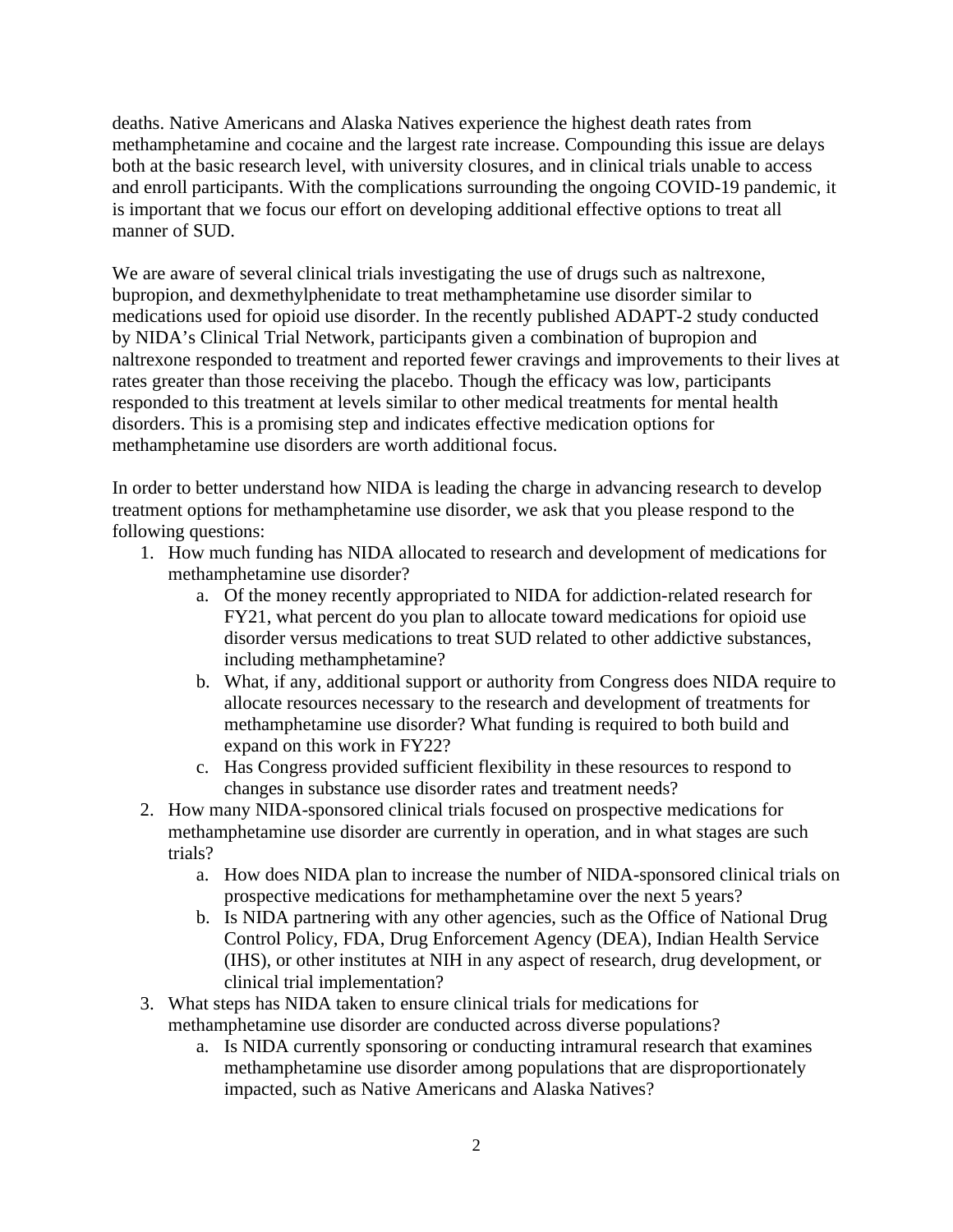deaths. Native Americans and Alaska Natives experience the highest death rates from methamphetamine and cocaine and the largest rate increase. Compounding this issue are delays both at the basic research level, with university closures, and in clinical trials unable to access and enroll participants. With the complications surrounding the ongoing COVID-19 pandemic, it is important that we focus our effort on developing additional effective options to treat all manner of SUD.

We are aware of several clinical trials investigating the use of drugs such as naltrexone, bupropion, and dexmethylphenidate to treat methamphetamine use disorder similar to medications used for opioid use disorder. In the recently published ADAPT-2 study conducted by NIDA's Clinical Trial Network, participants given a combination of bupropion and naltrexone responded to treatment and reported fewer cravings and improvements to their lives at rates greater than those receiving the placebo. Though the efficacy was low, participants responded to this treatment at levels similar to other medical treatments for mental health disorders. This is a promising step and indicates effective medication options for methamphetamine use disorders are worth additional focus.

In order to better understand how NIDA is leading the charge in advancing research to develop treatment options for methamphetamine use disorder, we ask that you please respond to the following questions:

- 1. How much funding has NIDA allocated to research and development of medications for methamphetamine use disorder?
	- a. Of the money recently appropriated to NIDA for addiction-related research for FY21, what percent do you plan to allocate toward medications for opioid use disorder versus medications to treat SUD related to other addictive substances, including methamphetamine?
	- b. What, if any, additional support or authority from Congress does NIDA require to allocate resources necessary to the research and development of treatments for methamphetamine use disorder? What funding is required to both build and expand on this work in FY22?
	- c. Has Congress provided sufficient flexibility in these resources to respond to changes in substance use disorder rates and treatment needs?
- 2. How many NIDA-sponsored clinical trials focused on prospective medications for methamphetamine use disorder are currently in operation, and in what stages are such trials?
	- a. How does NIDA plan to increase the number of NIDA-sponsored clinical trials on prospective medications for methamphetamine over the next 5 years?
	- b. Is NIDA partnering with any other agencies, such as the Office of National Drug Control Policy, FDA, Drug Enforcement Agency (DEA), Indian Health Service (IHS), or other institutes at NIH in any aspect of research, drug development, or clinical trial implementation?
- 3. What steps has NIDA taken to ensure clinical trials for medications for methamphetamine use disorder are conducted across diverse populations?
	- a. Is NIDA currently sponsoring or conducting intramural research that examines methamphetamine use disorder among populations that are disproportionately impacted, such as Native Americans and Alaska Natives?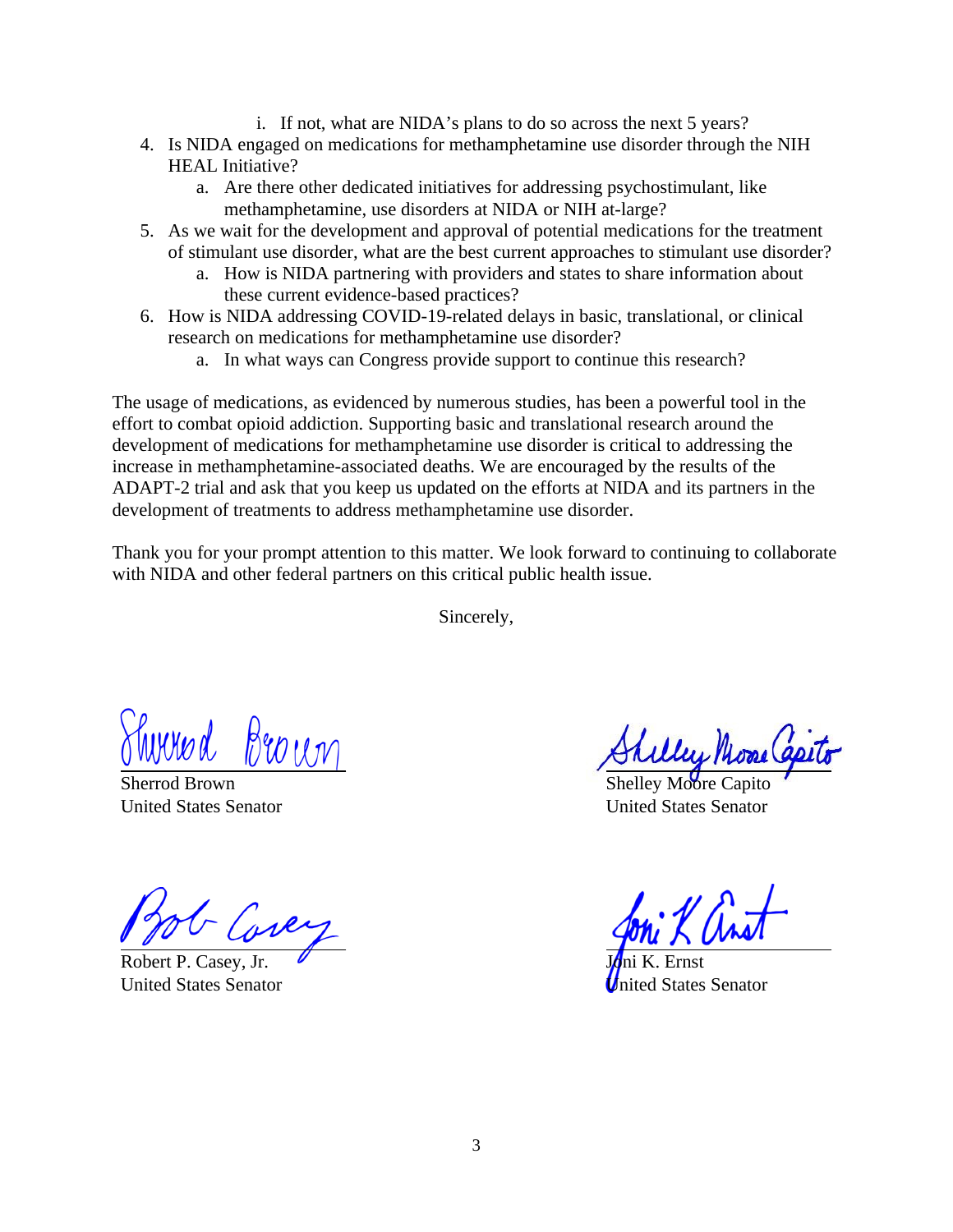- i. If not, what are NIDA's plans to do so across the next 5 years?
- 4. Is NIDA engaged on medications for methamphetamine use disorder through the NIH HEAL Initiative?
	- a. Are there other dedicated initiatives for addressing psychostimulant, like methamphetamine, use disorders at NIDA or NIH at-large?
- 5. As we wait for the development and approval of potential medications for the treatment of stimulant use disorder, what are the best current approaches to stimulant use disorder?
	- a. How is NIDA partnering with providers and states to share information about these current evidence-based practices?
- 6. How is NIDA addressing COVID-19-related delays in basic, translational, or clinical research on medications for methamphetamine use disorder?
	- a. In what ways can Congress provide support to continue this research?

The usage of medications, as evidenced by numerous studies, has been a powerful tool in the effort to combat opioid addiction. Supporting basic and translational research around the development of medications for methamphetamine use disorder is critical to addressing the increase in methamphetamine-associated deaths. We are encouraged by the results of the ADAPT-2 trial and ask that you keep us updated on the efforts at NIDA and its partners in the development of treatments to address methamphetamine use disorder.

Thank you for your prompt attention to this matter. We look forward to continuing to collaborate with NIDA and other federal partners on this critical public health issue.

Sincerely,

Broun  $w$ und

Sherrod Brown United States Senator

Robert P. Casey, Jr. United States Senator

Shelley Moore C United States Senator

J<mark>⁄o</mark>ni K. Ernst ed States Senator